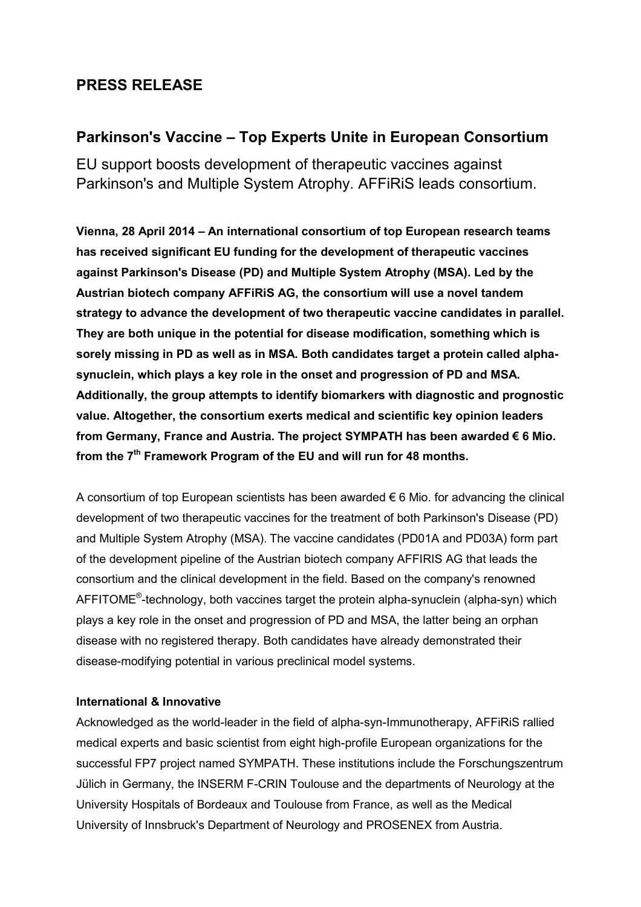# **PRESS RELEASE**

## **Parkinson's Vaccine – Top Experts Unite in European Consortium**

EU support boosts development of therapeutic vaccines against Parkinson's and Multiple System Atrophy. AFFiRiS leads consortium.

**Vienna, 28 April 2014 – An international consortium of top European research teams has received significant EU funding for the development of therapeutic vaccines against Parkinson's Disease (PD) and Multiple System Atrophy (MSA). Led by the Austrian biotech company AFFiRiS AG, the consortium will use a novel tandem strategy to advance the development of two therapeutic vaccine candidates in parallel. They are both unique in the potential for disease modification, something which is sorely missing in PD as well as in MSA. Both candidates target a protein called alphasynuclein, which plays a key role in the onset and progression of PD and MSA. Additionally, the group attempts to identify biomarkers with diagnostic and prognostic value. Altogether, the consortium exerts medical and scientific key opinion leaders from Germany, France and Austria. The project SYMPATH has been awarded € 6 Mio. from the 7th Framework Program of the EU and will run for 48 months.**

A consortium of top European scientists has been awarded  $\epsilon$  6 Mio. for advancing the clinical development of two therapeutic vaccines for the treatment of both Parkinson's Disease (PD) and Multiple System Atrophy (MSA). The vaccine candidates (PD01A and PD03A) form part of the development pipeline of the Austrian biotech company AFFIRIS AG that leads the consortium and the clinical development in the field. Based on the company's renowned AFFITOME®-technology, both vaccines target the protein alpha-synuclein (alpha-syn) which plays a key role in the onset and progression of PD and MSA, the latter being an orphan disease with no registered therapy. Both candidates have already demonstrated their disease-modifying potential in various preclinical model systems.

### **International & Innovative**

Acknowledged as the world-leader in the field of alpha-syn-Immunotherapy, AFFiRiS rallied medical experts and basic scientist from eight high-profile European organizations for the successful FP7 project named SYMPATH. These institutions include the Forschungszentrum Jülich in Germany, the INSERM F-CRIN Toulouse and the departments of Neurology at the University Hospitals of Bordeaux and Toulouse from France, as well as the Medical University of Innsbruck's Department of Neurology and PROSENEX from Austria.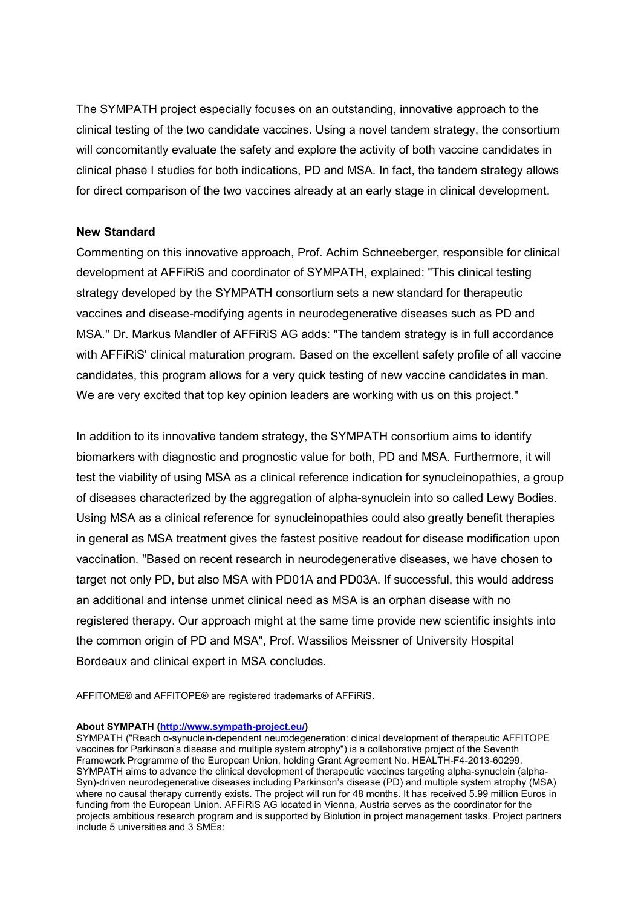The SYMPATH project especially focuses on an outstanding, innovative approach to the clinical testing of the two candidate vaccines. Using a novel tandem strategy, the consortium will concomitantly evaluate the safety and explore the activity of both vaccine candidates in clinical phase I studies for both indications, PD and MSA. In fact, the tandem strategy allows for direct comparison of the two vaccines already at an early stage in clinical development.

### **New Standard**

Commenting on this innovative approach, Prof. Achim Schneeberger, responsible for clinical development at AFFiRiS and coordinator of SYMPATH, explained: "This clinical testing strategy developed by the SYMPATH consortium sets a new standard for therapeutic vaccines and disease-modifying agents in neurodegenerative diseases such as PD and MSA." Dr. Markus Mandler of AFFiRiS AG adds: "The tandem strategy is in full accordance with AFFiRiS' clinical maturation program. Based on the excellent safety profile of all vaccine candidates, this program allows for a very quick testing of new vaccine candidates in man. We are very excited that top key opinion leaders are working with us on this project."

In addition to its innovative tandem strategy, the SYMPATH consortium aims to identify biomarkers with diagnostic and prognostic value for both, PD and MSA. Furthermore, it will test the viability of using MSA as a clinical reference indication for synucleinopathies, a group of diseases characterized by the aggregation of alpha-synuclein into so called Lewy Bodies. Using MSA as a clinical reference for synucleinopathies could also greatly benefit therapies in general as MSA treatment gives the fastest positive readout for disease modification upon vaccination. "Based on recent research in neurodegenerative diseases, we have chosen to target not only PD, but also MSA with PD01A and PD03A. If successful, this would address an additional and intense unmet clinical need as MSA is an orphan disease with no registered therapy. Our approach might at the same time provide new scientific insights into the common origin of PD and MSA", Prof. Wassilios Meissner of University Hospital Bordeaux and clinical expert in MSA concludes.

AFFITOME® and AFFITOPE® are registered trademarks of AFFiRiS.

#### **About SYMPATH [\(http://www.sympath-project.eu/\)](http://www.sympath-project.eu/)**

SYMPATH ("Reach α-synuclein-dependent neurodegeneration: clinical development of therapeutic AFFITOPE vaccines for Parkinson's disease and multiple system atrophy") is a collaborative project of the Seventh Framework Programme of the European Union, holding Grant Agreement No. HEALTH-F4-2013-60299. SYMPATH aims to advance the clinical development of therapeutic vaccines targeting alpha-synuclein (alpha-Syn)-driven neurodegenerative diseases including Parkinson's disease (PD) and multiple system atrophy (MSA) where no causal therapy currently exists. The project will run for 48 months. It has received 5.99 million Euros in funding from the European Union. AFFiRiS AG located in Vienna, Austria serves as the coordinator for the projects ambitious research program and is supported by Biolution in project management tasks. Project partners include 5 universities and 3 SMEs: